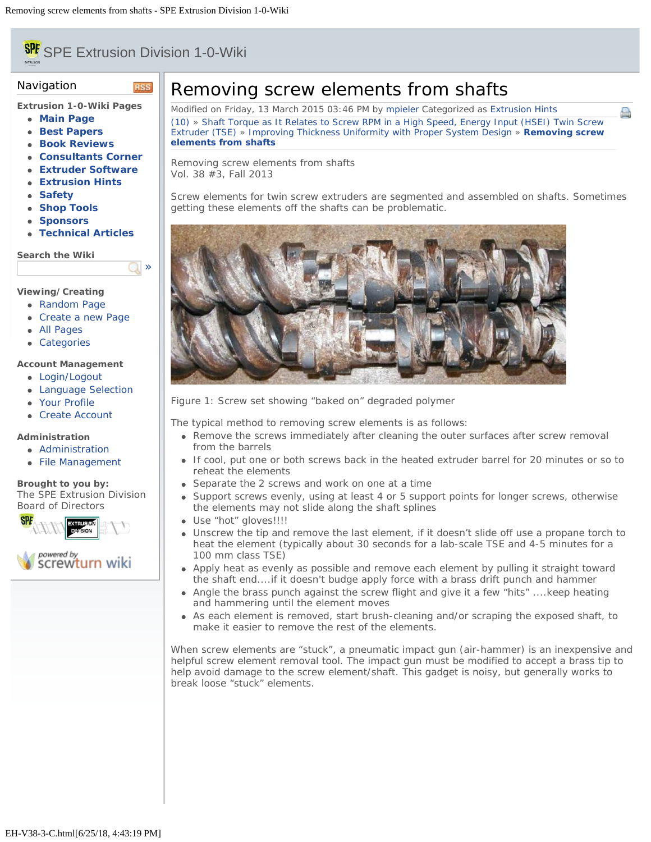# <span id="page-0-0"></span>**SPE** SPE Extrusion Division 1-0-Wiki

**RSS** 

[»](#page-0-0)

## Navigation

**Extrusion 1-0-Wiki Pages**

- **[Main Page](file:///Users/spe/websites/Extrusion%20Hints/extrusionwiki.com/wiki/MainPage.html)**
- **[Best Papers](file:///Users/spe/websites/Extrusion%20Hints/extrusionwiki.com/wiki/BestPapers.html)**
- **[Book Reviews](file:///Users/spe/websites/Extrusion%20Hints/extrusionwiki.com/wiki/BookReviews.html)**
- **[Consultants Corner](file:///Users/spe/websites/Extrusion%20Hints/extrusionwiki.com/wiki/ConsultantsCorner.html)**
- **[Extruder Software](file:///Users/spe/websites/Extrusion%20Hints/extrusionwiki.com/wiki/ExtruderSoftware.html)**
- **[Extrusion Hints](file:///Users/spe/websites/Extrusion%20Hints/extrusionwiki.com/wiki/ExtrusionHints.html)**
- **[Safety](file:///Users/spe/websites/Extrusion%20Hints/extrusionwiki.com/wiki/Safety.html)**
- **[Shop Tools](file:///Users/spe/websites/Extrusion%20Hints/extrusionwiki.com/wiki/ShopTools.html)**
- **[Sponsors](file:///Users/spe/websites/Extrusion%20Hints/extrusionwiki.com/wiki/SponsorsMain.html)**
- **[Technical Articles](file:///Users/spe/websites/Extrusion%20Hints/extrusionwiki.com/wiki/POTM.html)**

**Search the Wiki**

## **Viewing/Creating**

- [Random Page](file:///Users/spe/websites/Extrusion%20Hints/extrusionwiki.com/wiki/EH-V22-2-G.html)
- [Create a new Page](file:///Users/spe/websites/Extrusion%20Hints/extrusionwiki.com/wiki/Login1c96.html)
- [All Pages](file:///Users/spe/websites/Extrusion%20Hints/extrusionwiki.com/wiki/AllPages.html)
- [Categories](file:///Users/spe/websites/Extrusion%20Hints/extrusionwiki.com/wiki/Category.html)

### **Account Management**

- [Login/Logout](file:///Users/spe/websites/Extrusion%20Hints/extrusionwiki.com/wiki/Login.html)
- [Language Selection](file:///Users/spe/websites/Extrusion%20Hints/extrusionwiki.com/wiki/Language.html)
- [Your Profile](file:///Users/spe/websites/Extrusion%20Hints/extrusionwiki.com/wiki/Login4c84.html)
- [Create Account](file:///Users/spe/websites/Extrusion%20Hints/extrusionwiki.com/wiki/Register.html)

## **Administration**

- [Administration](file:///Users/spe/websites/Extrusion%20Hints/extrusionwiki.com/wiki/Login2fcc.html)
- [File Management](file:///Users/spe/websites/Extrusion%20Hints/extrusionwiki.com/wiki/Upload.html)

#### **Brought to you by:** The SPE Extrusion Division [Board of Directors](file:///Users/spe/websites/Extrusion%20Hints/extrusion.4spe.org/index.html)



## Removing screw elements from shafts

Modified on Friday, 13 March 2015 03:46 PM by [mpieler](file:///Users/spe/websites/Extrusion%20Hints/extrusionwiki.com/wiki/User67ec.html?Username=mpieler) Categorized as [Extrusion Hints](file:///Users/spe/websites/Extrusion%20Hints/extrusionwiki.com/wiki/AllPages019f.html?Cat=Extrusion%20Hints) [\(10\)](#page-0-0) » [Shaft Torque as It Relates to Screw RPM in a High Speed, Energy Input \(HSEI\) Twin Screw](file:///Users/spe/websites/Extrusion%20Hints/extrusionwiki.com/wiki/EH-V36-3-C.html) [Extruder \(TSE\)](file:///Users/spe/websites/Extrusion%20Hints/extrusionwiki.com/wiki/EH-V36-3-C.html) » [Improving Thickness Uniformity with Proper System Design](file:///Users/spe/websites/Extrusion%20Hints/extrusionwiki.com/wiki/EH-V38-3-A.html) » **[Removing screw](#page-0-0) [elements from shafts](#page-0-0)**

e

Removing screw elements from shafts Vol. 38 #3, Fall 2013

Screw elements for twin screw extruders are segmented and assembled on shafts. Sometimes getting these elements off the shafts can be problematic.



Figure 1: Screw set showing "baked on" degraded polymer

The typical method to removing screw elements is as follows:

- Remove the screws immediately after cleaning the outer surfaces after screw removal from the barrels
- If cool, put one or both screws back in the heated extruder barrel for 20 minutes or so to reheat the elements
- Separate the 2 screws and work on one at a time
- Support screws evenly, using at least 4 or 5 support points for longer screws, otherwise the elements may not slide along the shaft splines
- Use "hot" gloves!!!!
- Unscrew the tip and remove the last element, if it doesn't slide off use a propane torch to heat the element (typically about 30 seconds for a lab-scale TSE and 4-5 minutes for a 100 mm class TSE)
- Apply heat as evenly as possible and remove each element by pulling it straight toward the shaft end....if it doesn't budge apply force with a brass drift punch and hammer
- Angle the brass punch against the screw flight and give it a few "hits" ....keep heating and hammering until the element moves
- As each element is removed, start brush-cleaning and/or scraping the exposed shaft, to make it easier to remove the rest of the elements.

When screw elements are "stuck", a pneumatic impact gun (air-hammer) is an inexpensive and helpful screw element removal tool. The impact gun must be modified to accept a brass tip to help avoid damage to the screw element/shaft. This gadget is noisy, but generally works to break loose "stuck" elements.